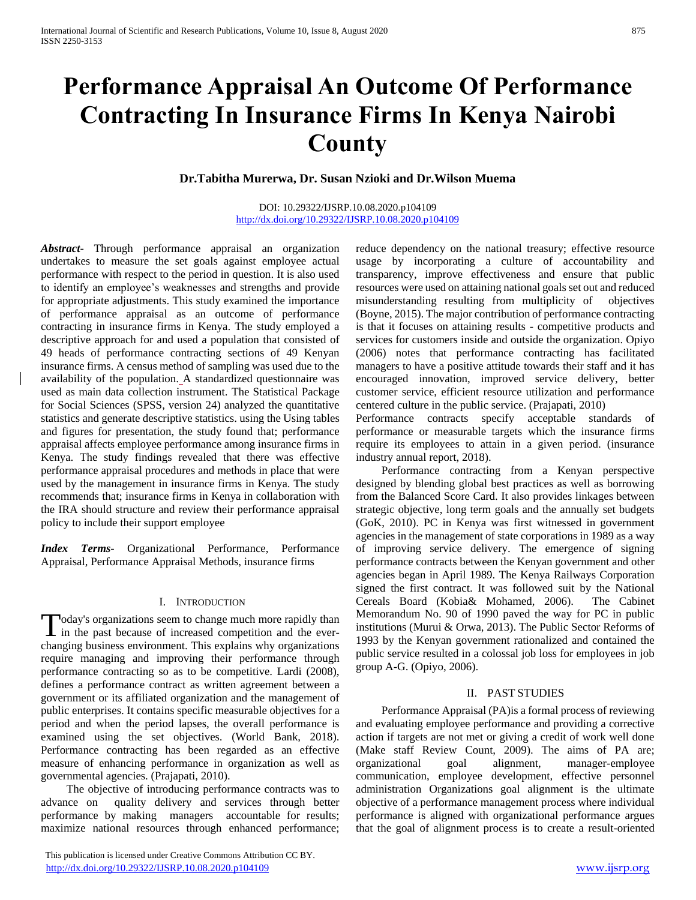# **Performance Appraisal An Outcome Of Performance Contracting In Insurance Firms In Kenya Nairobi County**

**Dr.Tabitha Murerwa, Dr. Susan Nzioki and Dr.Wilson Muema**

## DOI: 10.29322/IJSRP.10.08.2020.p104109 <http://dx.doi.org/10.29322/IJSRP.10.08.2020.p104109>

*Abstract***-** Through performance appraisal an organization undertakes to measure the set goals against employee actual performance with respect to the period in question. It is also used to identify an employee's weaknesses and strengths and provide for appropriate adjustments. This study examined the importance of performance appraisal as an outcome of performance contracting in insurance firms in Kenya. The study employed a descriptive approach for and used a population that consisted of 49 heads of performance contracting sections of 49 Kenyan insurance firms. A census method of sampling was used due to the availability of the population. A standardized questionnaire was used as main data collection instrument. The Statistical Package for Social Sciences (SPSS, version 24) analyzed the quantitative statistics and generate descriptive statistics. using the Using tables and figures for presentation, the study found that; performance appraisal affects employee performance among insurance firms in Kenya. The study findings revealed that there was effective performance appraisal procedures and methods in place that were used by the management in insurance firms in Kenya. The study recommends that; insurance firms in Kenya in collaboration with the IRA should structure and review their performance appraisal policy to include their support employee

*Index Terms*- Organizational Performance, Performance Appraisal, Performance Appraisal Methods, insurance firms

## I. INTRODUCTION

oday's organizations seem to change much more rapidly than Today's organizations seem to change much more rapidly than<br>in the past because of increased competition and the everchanging business environment. This explains why organizations require managing and improving their performance through performance contracting so as to be competitive. Lardi (2008), defines a performance contract as written agreement between a government or its affiliated organization and the management of public enterprises. It contains specific measurable objectives for a period and when the period lapses, the overall performance is examined using the set objectives. (World Bank, 2018). Performance contracting has been regarded as an effective measure of enhancing performance in organization as well as governmental agencies. (Prajapati, 2010).

 The objective of introducing performance contracts was to advance on quality delivery and services through better performance by making managers accountable for results; maximize national resources through enhanced performance;

 This publication is licensed under Creative Commons Attribution CC BY. <http://dx.doi.org/10.29322/IJSRP.10.08.2020.p104109> [www.ijsrp.org](http://ijsrp.org/)

reduce dependency on the national treasury; effective resource usage by incorporating a culture of accountability and transparency, improve effectiveness and ensure that public resources were used on attaining national goals set out and reduced misunderstanding resulting from multiplicity of objectives (Boyne, 2015). The major contribution of performance contracting is that it focuses on attaining results - competitive products and services for customers inside and outside the organization. Opiyo (2006) notes that performance contracting has facilitated managers to have a positive attitude towards their staff and it has encouraged innovation, improved service delivery, better customer service, efficient resource utilization and performance centered culture in the public service. (Prajapati, 2010)

Performance contracts specify acceptable standards of performance or measurable targets which the insurance firms require its employees to attain in a given period. (insurance industry annual report, 2018).

 Performance contracting from a Kenyan perspective designed by blending global best practices as well as borrowing from the Balanced Score Card. It also provides linkages between strategic objective, long term goals and the annually set budgets (GoK, 2010). PC in Kenya was first witnessed in government agencies in the management of state corporations in 1989 as a way of improving service delivery. The emergence of signing performance contracts between the Kenyan government and other agencies began in April 1989. The Kenya Railways Corporation signed the first contract. It was followed suit by the National Cereals Board (Kobia& Mohamed, 2006). The Cabinet Memorandum No. 90 of 1990 paved the way for PC in public institutions (Murui & Orwa, 2013). The Public Sector Reforms of 1993 by the Kenyan government rationalized and contained the public service resulted in a colossal job loss for employees in job group A-G. (Opiyo, 2006).

## II. PAST STUDIES

 Performance Appraisal (PA)is a formal process of reviewing and evaluating employee performance and providing a corrective action if targets are not met or giving a credit of work well done (Make staff Review Count, 2009). The aims of PA are; organizational goal alignment, manager-employee communication, employee development, effective personnel administration Organizations goal alignment is the ultimate objective of a performance management process where individual performance is aligned with organizational performance argues that the goal of alignment process is to create a result-oriented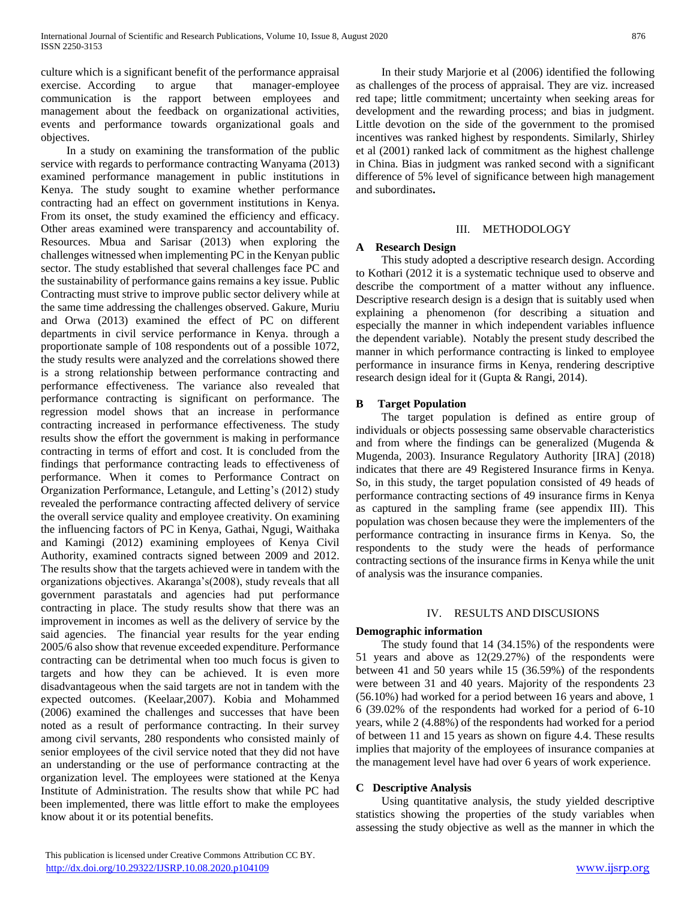culture which is a significant benefit of the performance appraisal exercise. According to argue that manager-employee communication is the rapport between employees and management about the feedback on organizational activities, events and performance towards organizational goals and objectives.

 In a study on examining the transformation of the public service with regards to performance contracting Wanyama (2013) examined performance management in public institutions in Kenya. The study sought to examine whether performance contracting had an effect on government institutions in Kenya. From its onset, the study examined the efficiency and efficacy. Other areas examined were transparency and accountability of. Resources. Mbua and Sarisar (2013) when exploring the challenges witnessed when implementing PC in the Kenyan public sector. The study established that several challenges face PC and the sustainability of performance gains remains a key issue. Public Contracting must strive to improve public sector delivery while at the same time addressing the challenges observed. Gakure, Muriu and Orwa (2013) examined the effect of PC on different departments in civil service performance in Kenya. through a proportionate sample of 108 respondents out of a possible 1072, the study results were analyzed and the correlations showed there is a strong relationship between performance contracting and performance effectiveness. The variance also revealed that performance contracting is significant on performance. The regression model shows that an increase in performance contracting increased in performance effectiveness. The study results show the effort the government is making in performance contracting in terms of effort and cost. It is concluded from the findings that performance contracting leads to effectiveness of performance. When it comes to Performance Contract on Organization Performance, Letangule, and Letting's (2012) study revealed the performance contracting affected delivery of service the overall service quality and employee creativity. On examining the influencing factors of PC in Kenya, Gathai, Ngugi, Waithaka and Kamingi (2012) examining employees of Kenya Civil Authority, examined contracts signed between 2009 and 2012. The results show that the targets achieved were in tandem with the organizations objectives. Akaranga's(2008), study reveals that all government parastatals and agencies had put performance contracting in place. The study results show that there was an improvement in incomes as well as the delivery of service by the said agencies. The financial year results for the year ending 2005/6 also show that revenue exceeded expenditure. Performance contracting can be detrimental when too much focus is given to targets and how they can be achieved. It is even more disadvantageous when the said targets are not in tandem with the expected outcomes. (Keelaar,2007). Kobia and Mohammed (2006) examined the challenges and successes that have been noted as a result of performance contracting. In their survey among civil servants, 280 respondents who consisted mainly of senior employees of the civil service noted that they did not have an understanding or the use of performance contracting at the organization level. The employees were stationed at the Kenya Institute of Administration. The results show that while PC had been implemented, there was little effort to make the employees know about it or its potential benefits.

 In their study Marjorie et al (2006) identified the following as challenges of the process of appraisal. They are viz. increased red tape; little commitment; uncertainty when seeking areas for development and the rewarding process; and bias in judgment. Little devotion on the side of the government to the promised incentives was ranked highest by respondents. Similarly, Shirley et al (2001) ranked lack of commitment as the highest challenge in China. Bias in judgment was ranked second with a significant difference of 5% level of significance between high management and subordinates**.** 

## III. METHODOLOGY

## **A Research Design**

 This study adopted a descriptive research design. According to Kothari (2012 it is a systematic technique used to observe and describe the comportment of a matter without any influence. Descriptive research design is a design that is suitably used when explaining a phenomenon (for describing a situation and especially the manner in which independent variables influence the dependent variable). Notably the present study described the manner in which performance contracting is linked to employee performance in insurance firms in Kenya, rendering descriptive research design ideal for it (Gupta & Rangi, 2014).

## **B Target Population**

 The target population is defined as entire group of individuals or objects possessing same observable characteristics and from where the findings can be generalized (Mugenda & Mugenda, 2003). Insurance Regulatory Authority [IRA] (2018) indicates that there are 49 Registered Insurance firms in Kenya. So, in this study, the target population consisted of 49 heads of performance contracting sections of 49 insurance firms in Kenya as captured in the sampling frame (see appendix III). This population was chosen because they were the implementers of the performance contracting in insurance firms in Kenya. So, the respondents to the study were the heads of performance contracting sections of the insurance firms in Kenya while the unit of analysis was the insurance companies.

## IV. RESULTS AND DISCUSIONS

## **Demographic information**

 The study found that 14 (34.15%) of the respondents were 51 years and above as 12(29.27%) of the respondents were between 41 and 50 years while 15 (36.59%) of the respondents were between 31 and 40 years. Majority of the respondents 23 (56.10%) had worked for a period between 16 years and above, 1 6 (39.02% of the respondents had worked for a period of 6-10 years, while 2 (4.88%) of the respondents had worked for a period of between 11 and 15 years as shown on figure 4.4. These results implies that majority of the employees of insurance companies at the management level have had over 6 years of work experience.

## **C Descriptive Analysis**

 Using quantitative analysis, the study yielded descriptive statistics showing the properties of the study variables when assessing the study objective as well as the manner in which the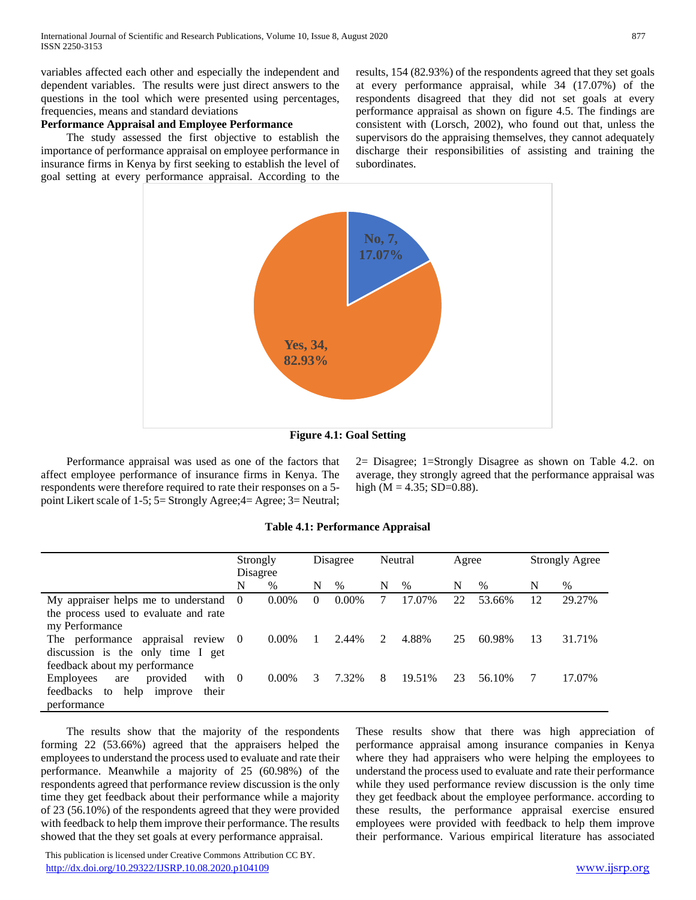variables affected each other and especially the independent and dependent variables. The results were just direct answers to the questions in the tool which were presented using percentages, frequencies, means and standard deviations

# **Performance Appraisal and Employee Performance**

 The study assessed the first objective to establish the importance of performance appraisal on employee performance in insurance firms in Kenya by first seeking to establish the level of goal setting at every performance appraisal. According to the results, 154 (82.93%) of the respondents agreed that they set goals at every performance appraisal, while 34 (17.07%) of the respondents disagreed that they did not set goals at every performance appraisal as shown on figure 4.5. The findings are consistent with (Lorsch, 2002), who found out that, unless the supervisors do the appraising themselves, they cannot adequately discharge their responsibilities of assisting and training the subordinates.



**Figure 4.1: Goal Setting**

 Performance appraisal was used as one of the factors that affect employee performance of insurance firms in Kenya. The respondents were therefore required to rate their responses on a 5 point Likert scale of 1-5; 5= Strongly Agree;4= Agree; 3= Neutral; 2= Disagree; 1=Strongly Disagree as shown on Table 4.2. on average, they strongly agreed that the performance appraisal was high ( $M = 4.35$ ; SD=0.88).

## **Table 4.1: Performance Appraisal**

|                                                 | Strongly |          |          | Disagree |             | Neutral | Agree |        |    | <b>Strongly Agree</b> |
|-------------------------------------------------|----------|----------|----------|----------|-------------|---------|-------|--------|----|-----------------------|
|                                                 | Disagree |          |          |          |             |         |       |        |    |                       |
|                                                 | N        | $\%$     | N        | $\%$     | N           | $\%$    | N     | $\%$   | N  | %                     |
| My appraiser helps me to understand $0$         |          | $0.00\%$ | $\Omega$ | $0.00\%$ |             | 17.07%  | 22    | 53.66% | 12 | 29.27%                |
| the process used to evaluate and rate           |          |          |          |          |             |         |       |        |    |                       |
| my Performance                                  |          |          |          |          |             |         |       |        |    |                       |
| The performance appraisal review                | 0        | $0.00\%$ |          | 2.44%    | $2^{\circ}$ | 4.88%   | 25    | 60.98% | 13 | 31.71%                |
| discussion is the only time I get               |          |          |          |          |             |         |       |        |    |                       |
| feedback about my performance                   |          |          |          |          |             |         |       |        |    |                       |
| provided<br><b>Employees</b><br>with $0$<br>are |          | $0.00\%$ | 3        | 7.32%    | 8           | 19.51%  | 23    | 56.10% |    | 17.07%                |
| feedbacks<br>help<br>their<br>to<br>improve     |          |          |          |          |             |         |       |        |    |                       |
| performance                                     |          |          |          |          |             |         |       |        |    |                       |

 The results show that the majority of the respondents forming 22 (53.66%) agreed that the appraisers helped the employees to understand the process used to evaluate and rate their performance. Meanwhile a majority of 25 (60.98%) of the respondents agreed that performance review discussion is the only time they get feedback about their performance while a majority of 23 (56.10%) of the respondents agreed that they were provided with feedback to help them improve their performance. The results showed that the they set goals at every performance appraisal.

These results show that there was high appreciation of performance appraisal among insurance companies in Kenya where they had appraisers who were helping the employees to understand the process used to evaluate and rate their performance while they used performance review discussion is the only time they get feedback about the employee performance. according to these results, the performance appraisal exercise ensured employees were provided with feedback to help them improve their performance. Various empirical literature has associated

 This publication is licensed under Creative Commons Attribution CC BY. <http://dx.doi.org/10.29322/IJSRP.10.08.2020.p104109> [www.ijsrp.org](http://ijsrp.org/)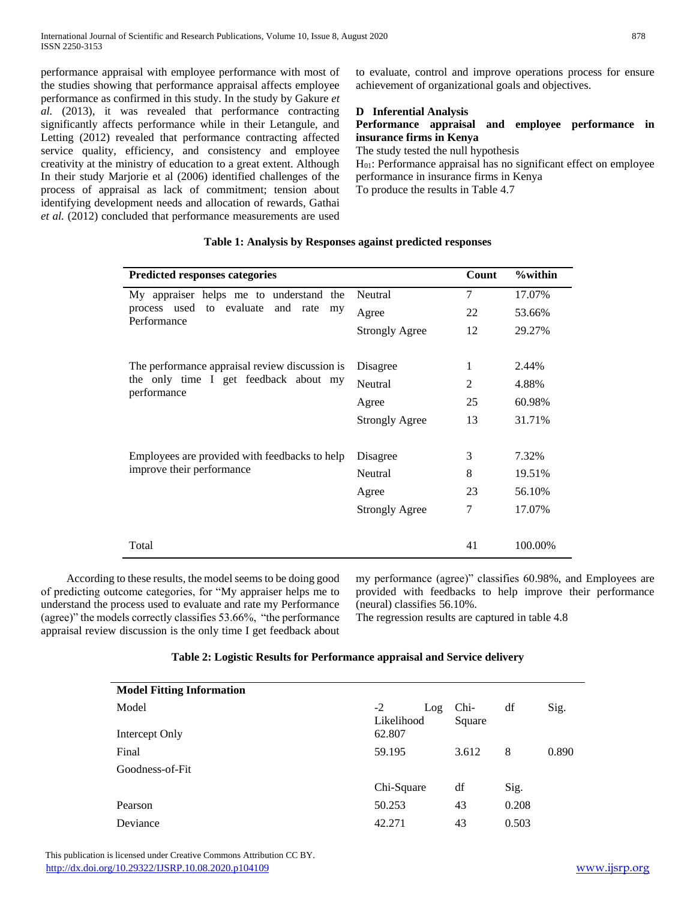performance appraisal with employee performance with most of the studies showing that performance appraisal affects employee performance as confirmed in this study. In the study by Gakure *et al.* (2013), it was revealed that performance contracting significantly affects performance while in their Letangule, and Letting (2012) revealed that performance contracting affected service quality, efficiency, and consistency and employee creativity at the ministry of education to a great extent. Although In their study Marjorie et al (2006) identified challenges of the process of appraisal as lack of commitment; tension about identifying development needs and allocation of rewards, Gathai *et al.* (2012) concluded that performance measurements are used to evaluate, control and improve operations process for ensure achievement of organizational goals and objectives.

# **D Inferential Analysis**

# **Performance appraisal and employee performance in insurance firms in Kenya**

The study tested the null hypothesis

H01: Performance appraisal has no significant effect on employee performance in insurance firms in Kenya To produce the results in Table 4.7

**Predicted responses categories Count %within** My appraiser helps me to understand the process used to evaluate and rate my Performance Neutral 7 17.07% Agree 22 53.66% Strongly Agree 12 29.27% The performance appraisal review discussion is the only time I get feedback about my performance Disagree 1 2.44% Neutral 2 4.88% Agree 25 60.98% Strongly Agree  $13$   $31.71\%$ Employees are provided with feedbacks to help improve their performance Disagree 3 7.32% Neutral 8 19.51% Agree 23 56.10% Strongly Agree  $\overline{7}$  17.07% Total 41 100.00%

# **Table 1: Analysis by Responses against predicted responses**

 According to these results, the model seems to be doing good of predicting outcome categories, for "My appraiser helps me to understand the process used to evaluate and rate my Performance (agree)" the models correctly classifies 53.66%, "the performance appraisal review discussion is the only time I get feedback about my performance (agree)" classifies 60.98%, and Employees are provided with feedbacks to help improve their performance (neural) classifies 56.10%.

The regression results are captured in table 4.8

## **Table 2: Logistic Results for Performance appraisal and Service delivery**

| <b>Model Fitting Information</b> |                           |                |       |       |
|----------------------------------|---------------------------|----------------|-------|-------|
| Model                            | $-2$<br>Log<br>Likelihood | Chi-<br>Square | df    | Sig.  |
| Intercept Only                   | 62.807                    |                |       |       |
| Final                            | 59.195                    | 3.612          | 8     | 0.890 |
| Goodness-of-Fit                  |                           |                |       |       |
|                                  | Chi-Square                | df             | Sig.  |       |
| Pearson                          | 50.253                    | 43             | 0.208 |       |
| Deviance                         | 42.271                    | 43             | 0.503 |       |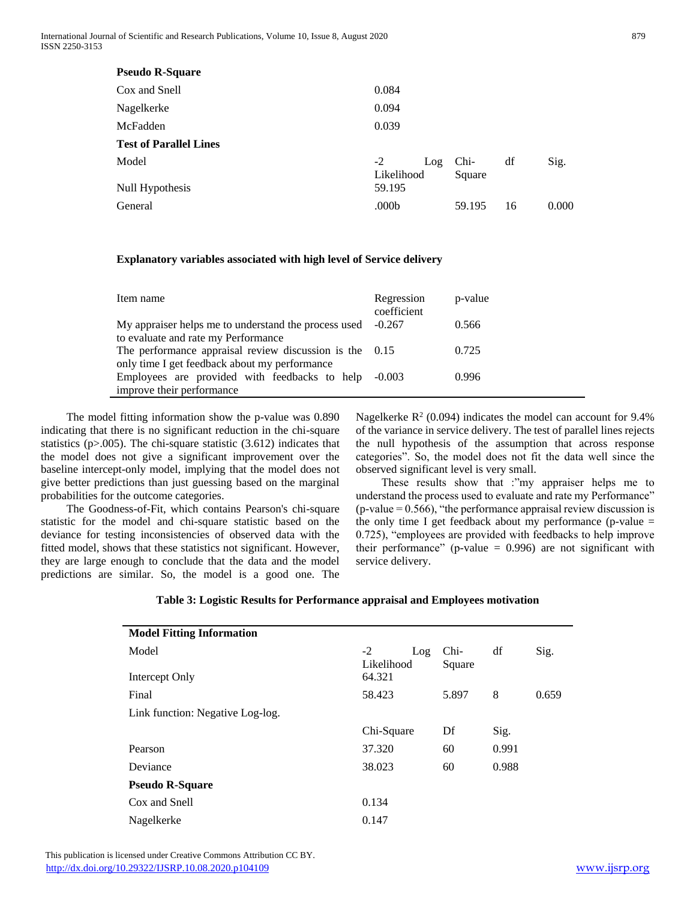| 0.084                     |                |    |       |
|---------------------------|----------------|----|-------|
| 0.094                     |                |    |       |
| 0.039                     |                |    |       |
|                           |                |    |       |
| $-2$<br>Log<br>Likelihood | Chi-<br>Square | df | Sig.  |
| 59.195                    |                |    |       |
| .000 <sub>b</sub>         | 59.195         | 16 | 0.000 |
|                           |                |    |       |

# **Explanatory variables associated with high level of Service delivery**

| Item name                                                 | Regression<br>coefficient | p-value |
|-----------------------------------------------------------|---------------------------|---------|
| My appraiser helps me to understand the process used      | $-0.267$                  | 0.566   |
| to evaluate and rate my Performance                       |                           |         |
| The performance appraisal review discussion is the $0.15$ |                           | 0.725   |
| only time I get feedback about my performance             |                           |         |
| Employees are provided with feedbacks to help -0.003      |                           | 0.996   |
| improve their performance                                 |                           |         |

 The model fitting information show the p-value was 0.890 indicating that there is no significant reduction in the chi-square statistics (p>.005). The chi-square statistic (3.612) indicates that the model does not give a significant improvement over the baseline intercept-only model, implying that the model does not give better predictions than just guessing based on the marginal probabilities for the outcome categories.

 The Goodness-of-Fit, which contains Pearson's chi-square statistic for the model and chi-square statistic based on the deviance for testing inconsistencies of observed data with the fitted model, shows that these statistics not significant. However, they are large enough to conclude that the data and the model predictions are similar. So, the model is a good one. The

Nagelkerke  $R^2$  (0.094) indicates the model can account for 9.4% of the variance in service delivery. The test of parallel lines rejects the null hypothesis of the assumption that across response categories". So, the model does not fit the data well since the observed significant level is very small.

These results show that :"my appraiser helps me to understand the process used to evaluate and rate my Performance"  $(p-value = 0.566)$ , "the performance appraisal review discussion is the only time I get feedback about my performance (p-value  $=$ 0.725), "employees are provided with feedbacks to help improve their performance" (p-value  $= 0.996$ ) are not significant with service delivery.

| $-2$<br>Log<br>Likelihood | Chi-<br>Square | df    | Sig.  |
|---------------------------|----------------|-------|-------|
| 64.321                    |                |       |       |
| 58.423                    | 5.897          | 8     | 0.659 |
|                           |                |       |       |
| Chi-Square                | Df             | Sig.  |       |
| 37.320                    | 60             | 0.991 |       |
| 38.023                    | 60             | 0.988 |       |
|                           |                |       |       |
| 0.134                     |                |       |       |
| 0.147                     |                |       |       |
|                           |                |       |       |

# **Table 3: Logistic Results for Performance appraisal and Employees motivation**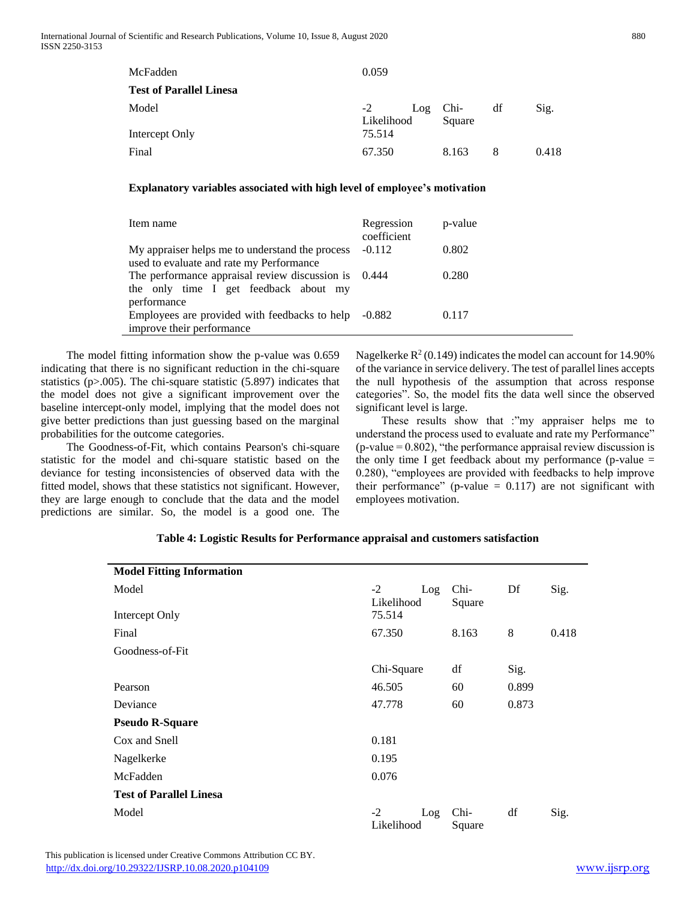| McFadden                       | 0.059              |                         |   |       |
|--------------------------------|--------------------|-------------------------|---|-------|
| <b>Test of Parallel Linesa</b> |                    |                         |   |       |
| Model                          | $-2$<br>Likelihood | $Log$ Chi- df<br>Square |   | Sig.  |
| Intercept Only                 | 75.514             |                         |   |       |
| Final                          | 67.350             | 8.163                   | 8 | 0.418 |

# **Explanatory variables associated with high level of employee's motivation**

| Item name                                                                                   | Regression<br>coefficient | p-value |
|---------------------------------------------------------------------------------------------|---------------------------|---------|
| My appraiser helps me to understand the process<br>used to evaluate and rate my Performance | $-0.112$                  | 0.802   |
| The performance appraisal review discussion is<br>the only time I get feedback about my     | 0.444                     | 0.280   |
| performance<br>Employees are provided with feedbacks to help<br>improve their performance   | $-0.882$                  | 0.117   |

 The model fitting information show the p-value was 0.659 indicating that there is no significant reduction in the chi-square statistics (p>.005). The chi-square statistic (5.897) indicates that the model does not give a significant improvement over the baseline intercept-only model, implying that the model does not give better predictions than just guessing based on the marginal probabilities for the outcome categories.

 The Goodness-of-Fit, which contains Pearson's chi-square statistic for the model and chi-square statistic based on the deviance for testing inconsistencies of observed data with the fitted model, shows that these statistics not significant. However, they are large enough to conclude that the data and the model predictions are similar. So, the model is a good one. The

Nagelkerke  $R^2$  (0.149) indicates the model can account for 14.90% of the variance in service delivery. The test of parallel lines accepts the null hypothesis of the assumption that across response categories". So, the model fits the data well since the observed significant level is large.

 These results show that :"my appraiser helps me to understand the process used to evaluate and rate my Performance"  $(p-value = 0.802)$ , "the performance appraisal review discussion is the only time I get feedback about my performance (p-value  $=$ 0.280), "employees are provided with feedbacks to help improve their performance" (p-value  $= 0.117$ ) are not significant with employees motivation.

| <b>Model Fitting Information</b> |                           |                |       |       |
|----------------------------------|---------------------------|----------------|-------|-------|
| Model                            | $-2$<br>Log<br>Likelihood | Chi-<br>Square | Df    | Sig.  |
| Intercept Only                   | 75.514                    |                |       |       |
| Final                            | 67.350                    | 8.163          | 8     | 0.418 |
| Goodness-of-Fit                  |                           |                |       |       |
|                                  | Chi-Square                | df             | Sig.  |       |
| Pearson                          | 46.505                    | 60             | 0.899 |       |
| Deviance                         | 47.778                    | 0.873<br>60    |       |       |
| <b>Pseudo R-Square</b>           |                           |                |       |       |
| Cox and Snell                    | 0.181                     |                |       |       |
| Nagelkerke                       | 0.195                     |                |       |       |
| McFadden                         | 0.076                     |                |       |       |
| <b>Test of Parallel Linesa</b>   |                           |                |       |       |
| Model                            | $-2$<br>Log<br>Likelihood | Chi-<br>Square | df    | Sig.  |

## **Table 4: Logistic Results for Performance appraisal and customers satisfaction**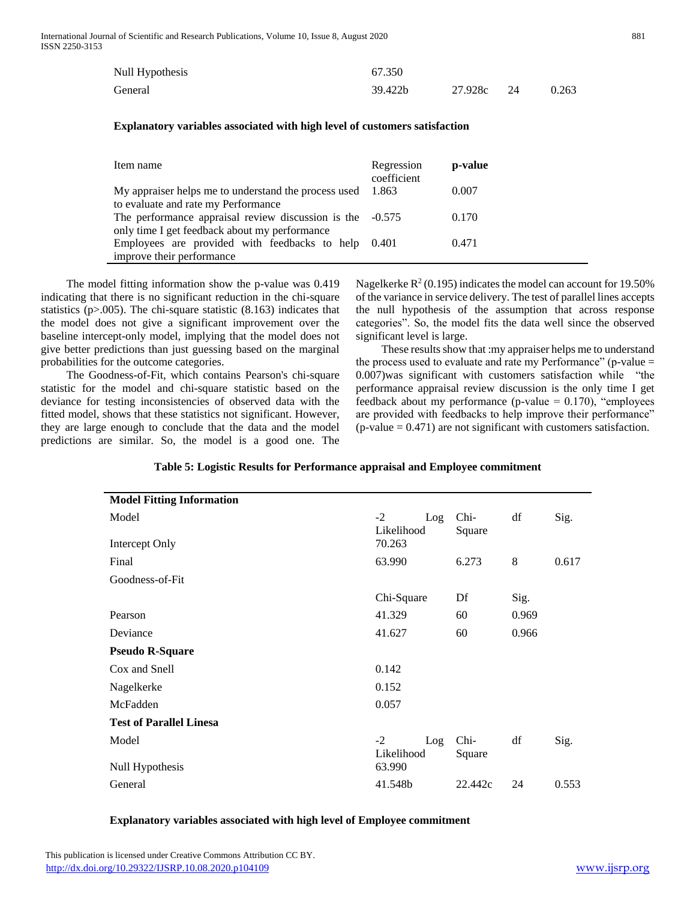| Null Hypothesis | 67.350  |         |    |       |
|-----------------|---------|---------|----|-------|
| General         | 39.422b | 27.928c | 24 | 0.263 |

## **Explanatory variables associated with high level of customers satisfaction**

| Item name                                                   | Regression<br>coefficient | p-value |
|-------------------------------------------------------------|---------------------------|---------|
| My appraiser helps me to understand the process used        | 1.863                     | 0.007   |
| to evaluate and rate my Performance                         |                           |         |
| The performance appraisal review discussion is the $-0.575$ |                           | 0.170   |
| only time I get feedback about my performance               |                           |         |
| Employees are provided with feedbacks to help               | 0.401                     | 0.471   |
| improve their performance                                   |                           |         |

 The model fitting information show the p-value was 0.419 indicating that there is no significant reduction in the chi-square statistics (p>.005). The chi-square statistic (8.163) indicates that the model does not give a significant improvement over the baseline intercept-only model, implying that the model does not give better predictions than just guessing based on the marginal probabilities for the outcome categories.

 The Goodness-of-Fit, which contains Pearson's chi-square statistic for the model and chi-square statistic based on the deviance for testing inconsistencies of observed data with the fitted model, shows that these statistics not significant. However, they are large enough to conclude that the data and the model predictions are similar. So, the model is a good one. The

Nagelkerke  $R^2$  (0.195) indicates the model can account for 19.50% of the variance in service delivery. The test of parallel lines accepts the null hypothesis of the assumption that across response categories". So, the model fits the data well since the observed significant level is large.

 These results show that :my appraiser helps me to understand the process used to evaluate and rate my Performance" (p-value  $=$ 0.007)was significant with customers satisfaction while "the performance appraisal review discussion is the only time I get feedback about my performance (p-value  $= 0.170$ ), "employees are provided with feedbacks to help improve their performance"  $(p-value = 0.471)$  are not significant with customers satisfaction.

| <b>Model Fitting Information</b> |                           |                |       |       |
|----------------------------------|---------------------------|----------------|-------|-------|
| Model                            | $-2$<br>Log<br>Likelihood | Chi-<br>Square | df    | Sig.  |
| Intercept Only                   | 70.263                    |                |       |       |
| Final                            | 63.990                    | 6.273          | 8     | 0.617 |
| Goodness-of-Fit                  |                           |                |       |       |
|                                  | Chi-Square                | Df             | Sig.  |       |
| Pearson                          | 41.329                    | 60             | 0.969 |       |
| Deviance                         | 41.627                    | 60             | 0.966 |       |
| <b>Pseudo R-Square</b>           |                           |                |       |       |
| Cox and Snell                    | 0.142                     |                |       |       |
| Nagelkerke                       | 0.152                     |                |       |       |
| McFadden                         | 0.057                     |                |       |       |
| <b>Test of Parallel Linesa</b>   |                           |                |       |       |
| Model                            | $-2$<br>Log<br>Likelihood | Chi-<br>Square | df    | Sig.  |
| Null Hypothesis                  | 63.990                    |                |       |       |
| General                          | 41.548b                   | 22.442c        | 24    | 0.553 |
|                                  |                           |                |       |       |

## **Table 5: Logistic Results for Performance appraisal and Employee commitment**

## **Explanatory variables associated with high level of Employee commitment**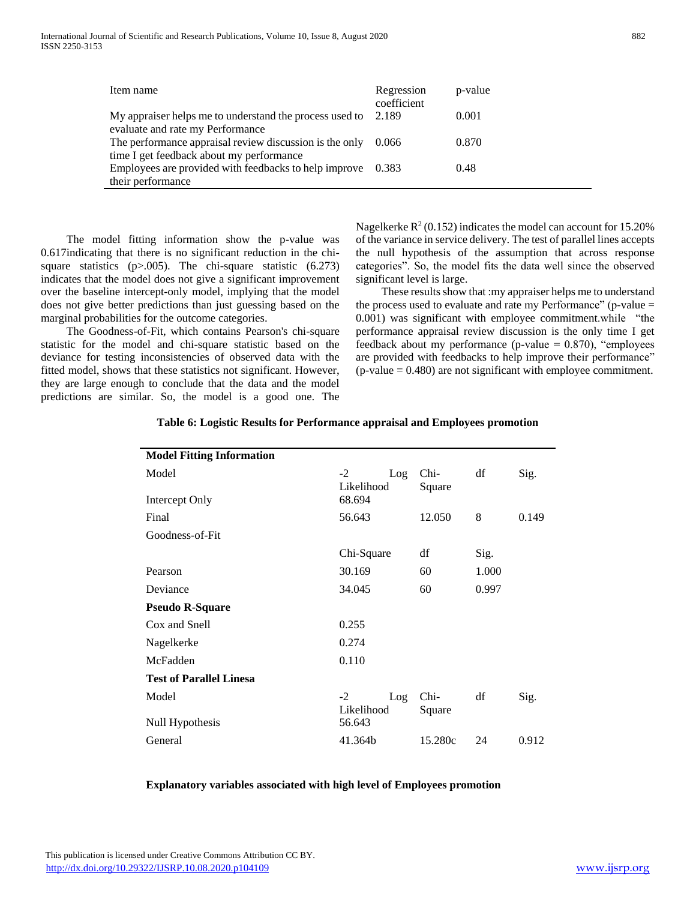| Item name                                               | Regression<br>coefficient | p-value |
|---------------------------------------------------------|---------------------------|---------|
| My appraiser helps me to understand the process used to | 2.189                     | 0.001   |
| evaluate and rate my Performance                        |                           |         |
| The performance appraisal review discussion is the only | 0.066                     | 0.870   |
| time I get feedback about my performance                |                           |         |
| Employees are provided with feedbacks to help improve   | 0.383                     | 0.48    |
| their performance                                       |                           |         |

 The model fitting information show the p-value was 0.617indicating that there is no significant reduction in the chisquare statistics  $(p>0.005)$ . The chi-square statistic  $(6.273)$ indicates that the model does not give a significant improvement over the baseline intercept-only model, implying that the model does not give better predictions than just guessing based on the marginal probabilities for the outcome categories.

 The Goodness-of-Fit, which contains Pearson's chi-square statistic for the model and chi-square statistic based on the deviance for testing inconsistencies of observed data with the fitted model, shows that these statistics not significant. However, they are large enough to conclude that the data and the model predictions are similar. So, the model is a good one. The

Nagelkerke  $R^2$  (0.152) indicates the model can account for 15.20% of the variance in service delivery. The test of parallel lines accepts the null hypothesis of the assumption that across response categories". So, the model fits the data well since the observed significant level is large.

 These results show that :my appraiser helps me to understand the process used to evaluate and rate my Performance" (p-value  $=$ 0.001) was significant with employee commitment.while "the performance appraisal review discussion is the only time I get feedback about my performance (p-value  $= 0.870$ ), "employees are provided with feedbacks to help improve their performance" (p-value = 0.480) are not significant with employee commitment.

| <b>Model Fitting Information</b> |                                     |                |       |       |
|----------------------------------|-------------------------------------|----------------|-------|-------|
| Model<br>Intercept Only          | $-2$<br>Log<br>Likelihood<br>68.694 | Chi-<br>Square | df    | Sig.  |
| Final                            | 56.643                              | 12.050         | 8     | 0.149 |
| Goodness-of-Fit                  |                                     |                |       |       |
|                                  | Chi-Square                          | df             | Sig.  |       |
| Pearson                          | 30.169                              | 60             | 1.000 |       |
| Deviance                         | 34.045                              | 60             | 0.997 |       |
| <b>Pseudo R-Square</b>           |                                     |                |       |       |
| Cox and Snell                    | 0.255                               |                |       |       |
| Nagelkerke                       | 0.274                               |                |       |       |
| McFadden                         | 0.110                               |                |       |       |
| <b>Test of Parallel Linesa</b>   |                                     |                |       |       |
| Model                            | $-2$<br>Log<br>Likelihood           | Chi-<br>Square | df    | Sig.  |
| Null Hypothesis                  | 56.643                              |                |       |       |
| General                          | 41.364b                             | 15.280c        | 24    | 0.912 |

**Table 6: Logistic Results for Performance appraisal and Employees promotion**

## **Explanatory variables associated with high level of Employees promotion**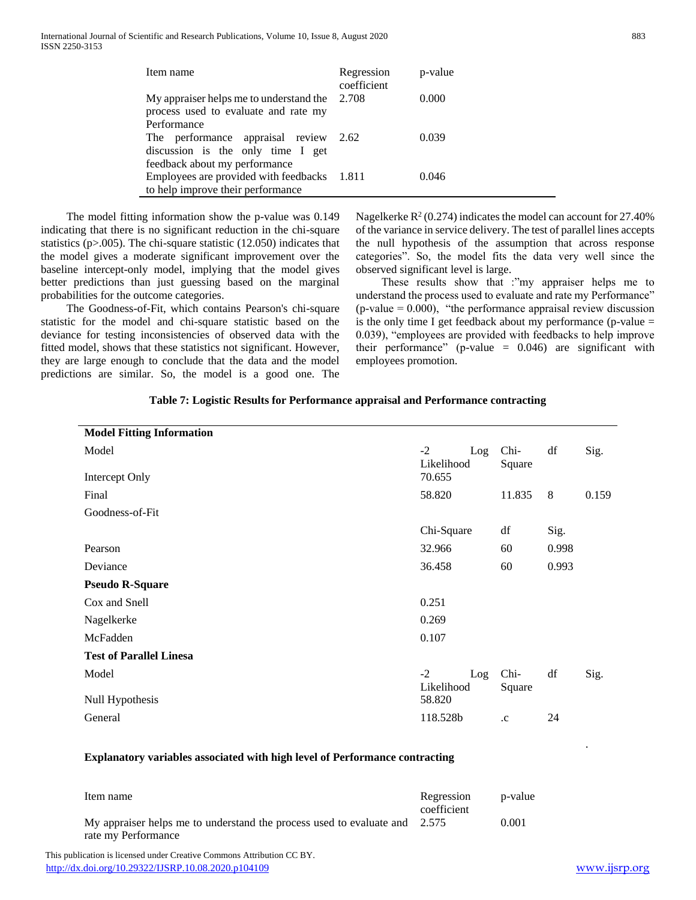| Item name                                                                               | Regression<br>coefficient | p-value |
|-----------------------------------------------------------------------------------------|---------------------------|---------|
| My appraiser helps me to understand the $2.708$<br>process used to evaluate and rate my |                           | 0.000   |
| Performance                                                                             |                           |         |
| The performance appraisal review 2.62<br>discussion is the only time I get              |                           | 0.039   |
| feedback about my performance                                                           |                           |         |
| Employees are provided with feedbacks 1.811                                             |                           | 0 046   |
| to help improve their performance                                                       |                           |         |

 The model fitting information show the p-value was 0.149 indicating that there is no significant reduction in the chi-square statistics (p>.005). The chi-square statistic (12.050) indicates that the model gives a moderate significant improvement over the baseline intercept-only model, implying that the model gives better predictions than just guessing based on the marginal probabilities for the outcome categories.

 The Goodness-of-Fit, which contains Pearson's chi-square statistic for the model and chi-square statistic based on the deviance for testing inconsistencies of observed data with the fitted model, shows that these statistics not significant. However, they are large enough to conclude that the data and the model predictions are similar. So, the model is a good one. The

Nagelkerke  $R^2$  (0.274) indicates the model can account for 27.40% of the variance in service delivery. The test of parallel lines accepts the null hypothesis of the assumption that across response categories". So, the model fits the data very well since the observed significant level is large.

 These results show that :"my appraiser helps me to understand the process used to evaluate and rate my Performance"  $(p-value = 0.000)$ , "the performance appraisal review discussion is the only time I get feedback about my performance (p-value = 0.039), "employees are provided with feedbacks to help improve their performance" (p-value  $= 0.046$ ) are significant with employees promotion.

| <b>Model Fitting Information</b> |                           |                |       |       |
|----------------------------------|---------------------------|----------------|-------|-------|
| Model                            | $-2$<br>Log<br>Likelihood | Chi-<br>Square | df    | Sig.  |
| Intercept Only                   | 70.655                    |                |       |       |
| Final                            | 58.820                    | 11.835         | 8     | 0.159 |
| Goodness-of-Fit                  |                           |                |       |       |
|                                  | Chi-Square                | df             | Sig.  |       |
| Pearson                          | 32.966                    | 60             | 0.998 |       |
| Deviance                         | 36.458                    | 60             | 0.993 |       |
| <b>Pseudo R-Square</b>           |                           |                |       |       |
| Cox and Snell                    | 0.251                     |                |       |       |
| Nagelkerke                       | 0.269                     |                |       |       |
| McFadden                         | 0.107                     |                |       |       |
| <b>Test of Parallel Linesa</b>   |                           |                |       |       |
| Model                            | $-2$<br>Log<br>Likelihood | Chi-<br>Square | df    | Sig.  |
| Null Hypothesis                  | 58.820                    |                |       |       |
| General                          | 118.528b                  | $\cdot c$      | 24    |       |

## **Table 7: Logistic Results for Performance appraisal and Performance contracting**

## **Explanatory variables associated with high level of Performance contracting**

| Item name                                                                  | Regression<br>coefficient | p-value |
|----------------------------------------------------------------------------|---------------------------|---------|
| My appraiser helps me to understand the process used to evaluate and 2.575 |                           | 0.001   |
| rate my Performance                                                        |                           |         |

 This publication is licensed under Creative Commons Attribution CC BY. <http://dx.doi.org/10.29322/IJSRP.10.08.2020.p104109> [www.ijsrp.org](http://ijsrp.org/)

.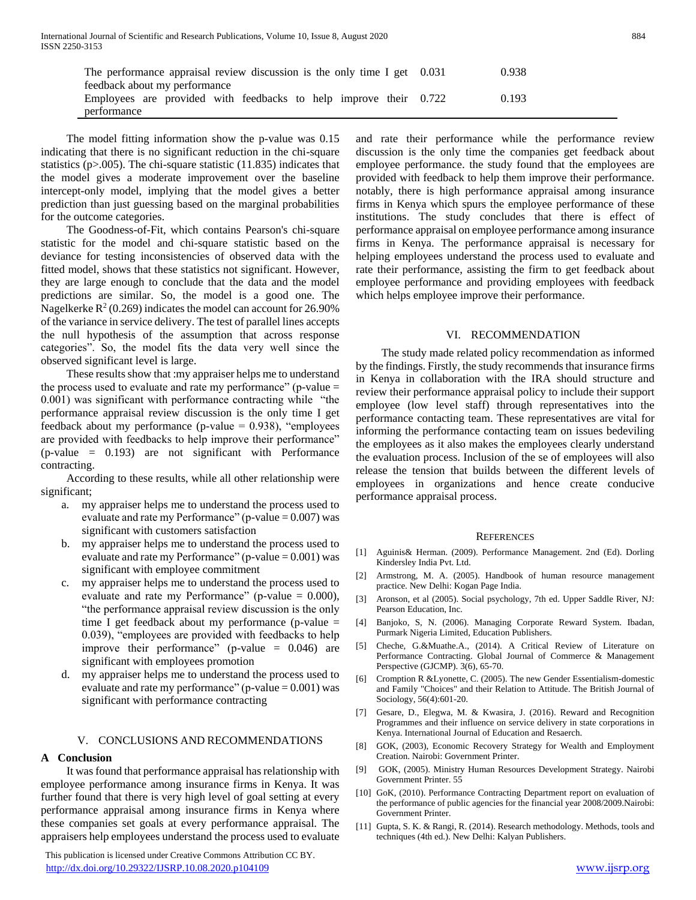| The performance appraisal review discussion is the only time I get 0.031 | 0.938 |
|--------------------------------------------------------------------------|-------|
| feedback about my performance                                            |       |
| Employees are provided with feedbacks to help improve their 0.722        | 0.193 |
| performance                                                              |       |

 The model fitting information show the p-value was 0.15 indicating that there is no significant reduction in the chi-square statistics (p>.005). The chi-square statistic (11.835) indicates that the model gives a moderate improvement over the baseline intercept-only model, implying that the model gives a better prediction than just guessing based on the marginal probabilities for the outcome categories.

 The Goodness-of-Fit, which contains Pearson's chi-square statistic for the model and chi-square statistic based on the deviance for testing inconsistencies of observed data with the fitted model, shows that these statistics not significant. However, they are large enough to conclude that the data and the model predictions are similar. So, the model is a good one. The Nagelkerke  $R^2$  (0.269) indicates the model can account for 26.90% of the variance in service delivery. The test of parallel lines accepts the null hypothesis of the assumption that across response categories". So, the model fits the data very well since the observed significant level is large.

 These results show that :my appraiser helps me to understand the process used to evaluate and rate my performance" (p-value  $=$ 0.001) was significant with performance contracting while "the performance appraisal review discussion is the only time I get feedback about my performance (p-value  $= 0.938$ ), "employees are provided with feedbacks to help improve their performance" (p-value = 0.193) are not significant with Performance contracting.

 According to these results, while all other relationship were significant;

- a. my appraiser helps me to understand the process used to evaluate and rate my Performance" ( $p$ -value = 0.007) was significant with customers satisfaction
- b. my appraiser helps me to understand the process used to evaluate and rate my Performance" ( $p$ -value = 0.001) was significant with employee commitment
- c. my appraiser helps me to understand the process used to evaluate and rate my Performance" (p-value  $= 0.000$ ), "the performance appraisal review discussion is the only time I get feedback about my performance (p-value = 0.039), "employees are provided with feedbacks to help improve their performance" (p-value = 0.046) are significant with employees promotion
- my appraiser helps me to understand the process used to evaluate and rate my performance" ( $p$ -value = 0.001) was significant with performance contracting

## V. CONCLUSIONS AND RECOMMENDATIONS

## **A Conclusion**

 It was found that performance appraisal has relationship with employee performance among insurance firms in Kenya. It was further found that there is very high level of goal setting at every performance appraisal among insurance firms in Kenya where these companies set goals at every performance appraisal. The appraisers help employees understand the process used to evaluate

 This publication is licensed under Creative Commons Attribution CC BY. <http://dx.doi.org/10.29322/IJSRP.10.08.2020.p104109> [www.ijsrp.org](http://ijsrp.org/)

and rate their performance while the performance review discussion is the only time the companies get feedback about employee performance. the study found that the employees are provided with feedback to help them improve their performance. notably, there is high performance appraisal among insurance firms in Kenya which spurs the employee performance of these institutions. The study concludes that there is effect of performance appraisal on employee performance among insurance firms in Kenya. The performance appraisal is necessary for helping employees understand the process used to evaluate and rate their performance, assisting the firm to get feedback about employee performance and providing employees with feedback which helps employee improve their performance.

## VI. RECOMMENDATION

 The study made related policy recommendation as informed by the findings. Firstly, the study recommends that insurance firms in Kenya in collaboration with the IRA should structure and review their performance appraisal policy to include their support employee (low level staff) through representatives into the performance contacting team. These representatives are vital for informing the performance contacting team on issues bedeviling the employees as it also makes the employees clearly understand the evaluation process. Inclusion of the se of employees will also release the tension that builds between the different levels of employees in organizations and hence create conducive performance appraisal process.

#### **REFERENCES**

- [1] Aguinis& Herman. (2009). Performance Management. 2nd (Ed). Dorling Kindersley India Pvt. Ltd.
- [2] Armstrong, M. A. (2005). Handbook of human resource management practice. New Delhi: Kogan Page India.
- [3] Aronson, et al (2005). Social psychology, 7th ed. Upper Saddle River, NJ: Pearson Education, Inc.
- [4] Banjoko, S, N. (2006). Managing Corporate Reward System. Ibadan, Purmark Nigeria Limited, Education Publishers.
- [5] Cheche, G.&Muathe.A., (2014). A Critical Review of Literature on Performance Contracting. Global Journal of Commerce & Management Perspective (GJCMP). 3(6), 65-70.
- [6] Cromption R &Lyonette, C. (2005). The new Gender Essentialism-domestic and Family "Choices" and their Relation to Attitude. The British Journal of Sociology, 56(4):601-20.
- [7] Gesare, D., Elegwa, M. & Kwasira, J. (2016). Reward and Recognition Programmes and their influence on service delivery in state corporations in Kenya. International Journal of Education and Resaerch.
- [8] GOK, (2003), Economic Recovery Strategy for Wealth and Employment Creation. Nairobi: Government Printer.
- [9] GOK, (2005). Ministry Human Resources Development Strategy. Nairobi Government Printer. 55
- [10] GoK, (2010). Performance Contracting Department report on evaluation of the performance of public agencies for the financial year 2008/2009.Nairobi: Government Printer.
- [11] Gupta, S. K. & Rangi, R. (2014). Research methodology. Methods, tools and techniques (4th ed.). New Delhi: Kalyan Publishers.